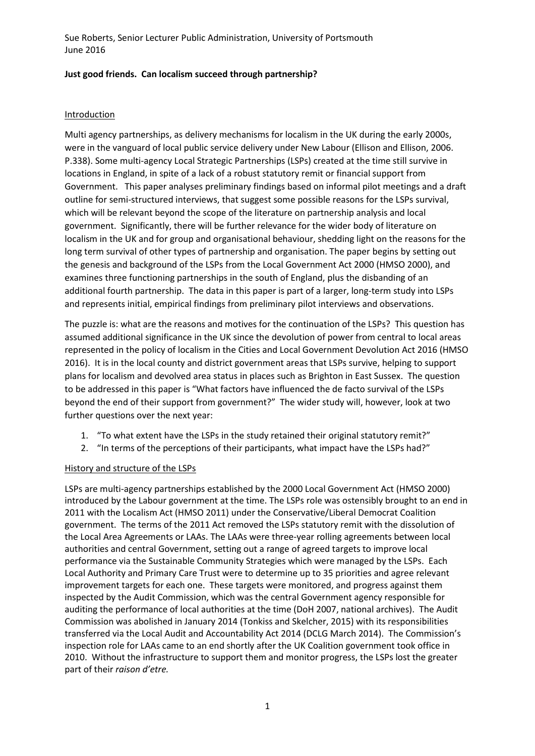## **Just good friends. Can localism succeed through partnership?**

## Introduction

Multi agency partnerships, as delivery mechanisms for localism in the UK during the early 2000s, were in the vanguard of local public service delivery under New Labour (Ellison and Ellison, 2006. P.338). Some multi-agency Local Strategic Partnerships (LSPs) created at the time still survive in locations in England, in spite of a lack of a robust statutory remit or financial support from Government. This paper analyses preliminary findings based on informal pilot meetings and a draft outline for semi-structured interviews, that suggest some possible reasons for the LSPs survival, which will be relevant beyond the scope of the literature on partnership analysis and local government. Significantly, there will be further relevance for the wider body of literature on localism in the UK and for group and organisational behaviour, shedding light on the reasons for the long term survival of other types of partnership and organisation. The paper begins by setting out the genesis and background of the LSPs from the Local Government Act 2000 (HMSO 2000), and examines three functioning partnerships in the south of England, plus the disbanding of an additional fourth partnership. The data in this paper is part of a larger, long-term study into LSPs and represents initial, empirical findings from preliminary pilot interviews and observations.

The puzzle is: what are the reasons and motives for the continuation of the LSPs? This question has assumed additional significance in the UK since the devolution of power from central to local areas represented in the policy of localism in the Cities and Local Government Devolution Act 2016 (HMSO 2016). It is in the local county and district government areas that LSPs survive, helping to support plans for localism and devolved area status in places such as Brighton in East Sussex. The question to be addressed in this paper is "What factors have influenced the de facto survival of the LSPs beyond the end of their support from government?" The wider study will, however, look at two further questions over the next year:

- 1. "To what extent have the LSPs in the study retained their original statutory remit?"
- 2. "In terms of the perceptions of their participants, what impact have the LSPs had?"

#### History and structure of the LSPs

LSPs are multi-agency partnerships established by the 2000 Local Government Act (HMSO 2000) introduced by the Labour government at the time. The LSPs role was ostensibly brought to an end in 2011 with the Localism Act (HMSO 2011) under the Conservative/Liberal Democrat Coalition government. The terms of the 2011 Act removed the LSPs statutory remit with the dissolution of the Local Area Agreements or LAAs. The LAAs were three-year rolling agreements between local authorities and central Government, setting out a range of agreed targets to improve local performance via the Sustainable Community Strategies which were managed by the LSPs. Each Local Authority and Primary Care Trust were to determine up to 35 priorities and agree relevant improvement targets for each one. These targets were monitored, and progress against them inspected by the Audit Commission, which was the central Government agency responsible for auditing the performance of local authorities at the time (DoH 2007, national archives). The Audit Commission was abolished in January 2014 (Tonkiss and Skelcher, 2015) with its responsibilities transferred via the Local Audit and Accountability Act 2014 (DCLG March 2014). The Commission's inspection role for LAAs came to an end shortly after the UK Coalition government took office in 2010. Without the infrastructure to support them and monitor progress, the LSPs lost the greater part of their *raison d'etre.*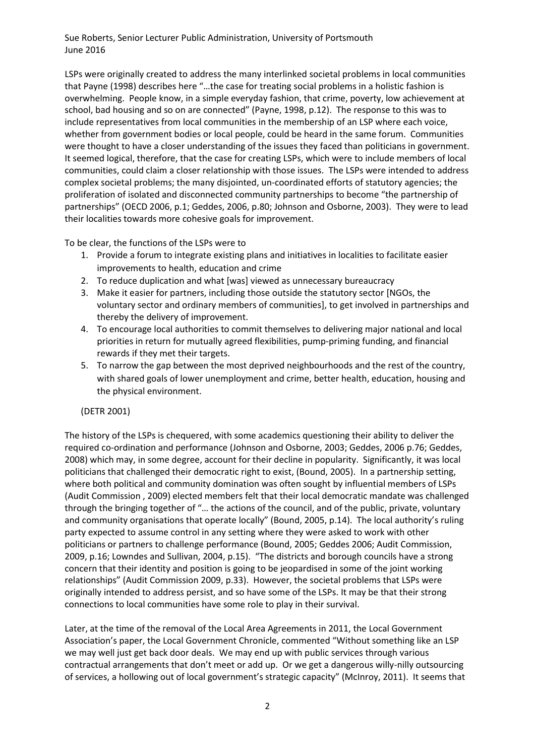LSPs were originally created to address the many interlinked societal problems in local communities that Payne (1998) describes here "…the case for treating social problems in a holistic fashion is overwhelming. People know, in a simple everyday fashion, that crime, poverty, low achievement at school, bad housing and so on are connected" (Payne, 1998, p.12). The response to this was to include representatives from local communities in the membership of an LSP where each voice, whether from government bodies or local people, could be heard in the same forum. Communities were thought to have a closer understanding of the issues they faced than politicians in government. It seemed logical, therefore, that the case for creating LSPs, which were to include members of local communities, could claim a closer relationship with those issues. The LSPs were intended to address complex societal problems; the many disjointed, un-coordinated efforts of statutory agencies; the proliferation of isolated and disconnected community partnerships to become "the partnership of partnerships" (OECD 2006, p.1; Geddes, 2006, p.80; Johnson and Osborne, 2003). They were to lead their localities towards more cohesive goals for improvement.

To be clear, the functions of the LSPs were to

- 1. Provide a forum to integrate existing plans and initiatives in localities to facilitate easier improvements to health, education and crime
- 2. To reduce duplication and what [was] viewed as unnecessary bureaucracy
- 3. Make it easier for partners, including those outside the statutory sector [NGOs, the voluntary sector and ordinary members of communities], to get involved in partnerships and thereby the delivery of improvement.
- 4. To encourage local authorities to commit themselves to delivering major national and local priorities in return for mutually agreed flexibilities, pump-priming funding, and financial rewards if they met their targets.
- 5. To narrow the gap between the most deprived neighbourhoods and the rest of the country, with shared goals of lower unemployment and crime, better health, education, housing and the physical environment.

(DETR 2001)

The history of the LSPs is chequered, with some academics questioning their ability to deliver the required co-ordination and performance (Johnson and Osborne, 2003; Geddes, 2006 p.76; Geddes, 2008) which may, in some degree, account for their decline in popularity. Significantly, it was local politicians that challenged their democratic right to exist, (Bound, 2005). In a partnership setting, where both political and community domination was often sought by influential members of LSPs (Audit Commission , 2009) elected members felt that their local democratic mandate was challenged through the bringing together of "… the actions of the council, and of the public, private, voluntary and community organisations that operate locally" (Bound, 2005, p.14). The local authority's ruling party expected to assume control in any setting where they were asked to work with other politicians or partners to challenge performance (Bound, 2005; Geddes 2006; Audit Commission, 2009, p.16; Lowndes and Sullivan, 2004, p.15). "The districts and borough councils have a strong concern that their identity and position is going to be jeopardised in some of the joint working relationships" (Audit Commission 2009, p.33). However, the societal problems that LSPs were originally intended to address persist, and so have some of the LSPs. It may be that their strong connections to local communities have some role to play in their survival.

Later, at the time of the removal of the Local Area Agreements in 2011, the Local Government Association's paper, the Local Government Chronicle, commented "Without something like an LSP we may well just get back door deals. We may end up with public services through various contractual arrangements that don't meet or add up. Or we get a dangerous willy-nilly outsourcing of services, a hollowing out of local government's strategic capacity" (McInroy, 2011). It seems that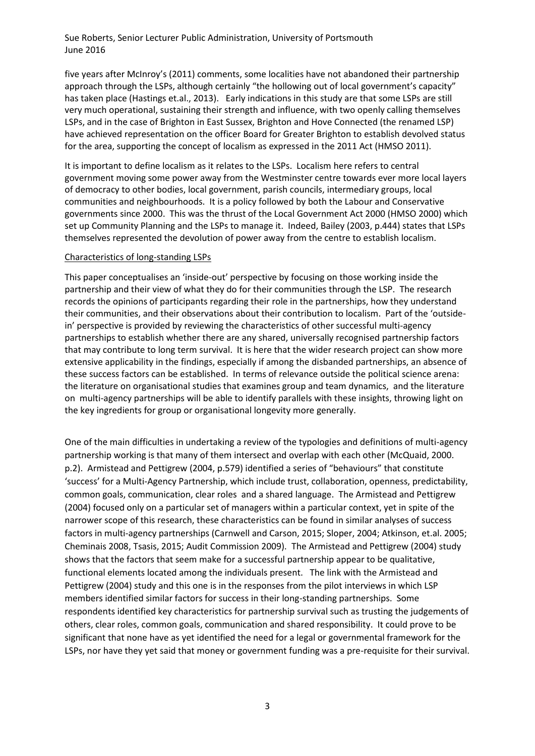five years after McInroy's (2011) comments, some localities have not abandoned their partnership approach through the LSPs, although certainly "the hollowing out of local government's capacity" has taken place (Hastings et.al., 2013). Early indications in this study are that some LSPs are still very much operational, sustaining their strength and influence, with two openly calling themselves LSPs, and in the case of Brighton in East Sussex, Brighton and Hove Connected (the renamed LSP) have achieved representation on the officer Board for Greater Brighton to establish devolved status for the area, supporting the concept of localism as expressed in the 2011 Act (HMSO 2011).

It is important to define localism as it relates to the LSPs. Localism here refers to central government moving some power away from the Westminster centre towards ever more local layers of democracy to other bodies, local government, parish councils, intermediary groups, local communities and neighbourhoods. It is a policy followed by both the Labour and Conservative governments since 2000. This was the thrust of the Local Government Act 2000 (HMSO 2000) which set up Community Planning and the LSPs to manage it. Indeed, Bailey (2003, p.444) states that LSPs themselves represented the devolution of power away from the centre to establish localism.

#### Characteristics of long-standing LSPs

This paper conceptualises an 'inside-out' perspective by focusing on those working inside the partnership and their view of what they do for their communities through the LSP. The research records the opinions of participants regarding their role in the partnerships, how they understand their communities, and their observations about their contribution to localism. Part of the 'outsidein' perspective is provided by reviewing the characteristics of other successful multi-agency partnerships to establish whether there are any shared, universally recognised partnership factors that may contribute to long term survival. It is here that the wider research project can show more extensive applicability in the findings, especially if among the disbanded partnerships, an absence of these success factors can be established. In terms of relevance outside the political science arena: the literature on organisational studies that examines group and team dynamics, and the literature on multi-agency partnerships will be able to identify parallels with these insights, throwing light on the key ingredients for group or organisational longevity more generally.

One of the main difficulties in undertaking a review of the typologies and definitions of multi-agency partnership working is that many of them intersect and overlap with each other (McQuaid, 2000. p.2). Armistead and Pettigrew (2004, p.579) identified a series of "behaviours" that constitute 'success' for a Multi-Agency Partnership, which include trust, collaboration, openness, predictability, common goals, communication, clear roles and a shared language. The Armistead and Pettigrew (2004) focused only on a particular set of managers within a particular context, yet in spite of the narrower scope of this research, these characteristics can be found in similar analyses of success factors in multi-agency partnerships (Carnwell and Carson, 2015; Sloper, 2004; Atkinson, et.al. 2005; Cheminais 2008, Tsasis, 2015; Audit Commission 2009). The Armistead and Pettigrew (2004) study shows that the factors that seem make for a successful partnership appear to be qualitative, functional elements located among the individuals present. The link with the Armistead and Pettigrew (2004) study and this one is in the responses from the pilot interviews in which LSP members identified similar factors for success in their long-standing partnerships. Some respondents identified key characteristics for partnership survival such as trusting the judgements of others, clear roles, common goals, communication and shared responsibility. It could prove to be significant that none have as yet identified the need for a legal or governmental framework for the LSPs, nor have they yet said that money or government funding was a pre-requisite for their survival.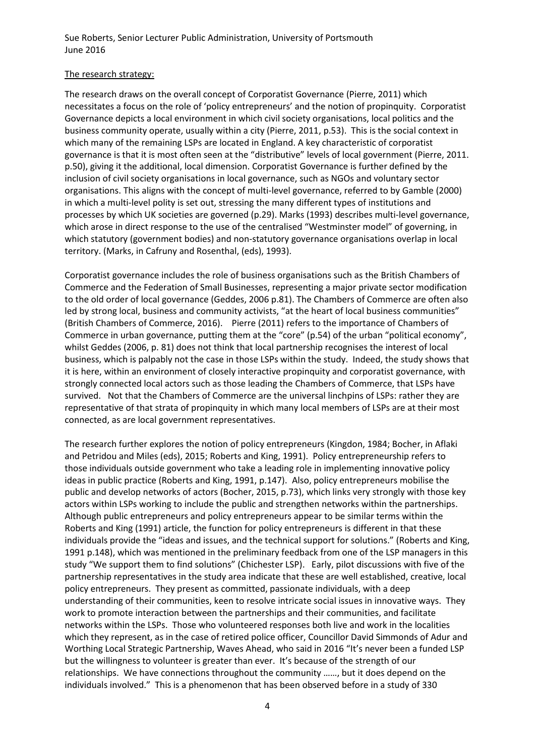### The research strategy:

The research draws on the overall concept of Corporatist Governance (Pierre, 2011) which necessitates a focus on the role of 'policy entrepreneurs' and the notion of propinquity. Corporatist Governance depicts a local environment in which civil society organisations, local politics and the business community operate, usually within a city (Pierre, 2011, p.53). This is the social context in which many of the remaining LSPs are located in England. A key characteristic of corporatist governance is that it is most often seen at the "distributive" levels of local government (Pierre, 2011. p.50), giving it the additional, local dimension. Corporatist Governance is further defined by the inclusion of civil society organisations in local governance, such as NGOs and voluntary sector organisations. This aligns with the concept of multi-level governance, referred to by Gamble (2000) in which a multi-level polity is set out, stressing the many different types of institutions and processes by which UK societies are governed (p.29). Marks (1993) describes multi-level governance, which arose in direct response to the use of the centralised "Westminster model" of governing, in which statutory (government bodies) and non-statutory governance organisations overlap in local territory. (Marks, in Cafruny and Rosenthal, (eds), 1993).

Corporatist governance includes the role of business organisations such as the British Chambers of Commerce and the Federation of Small Businesses, representing a major private sector modification to the old order of local governance (Geddes, 2006 p.81). The Chambers of Commerce are often also led by strong local, business and community activists, "at the heart of local business communities" (British Chambers of Commerce, 2016). Pierre (2011) refers to the importance of Chambers of Commerce in urban governance, putting them at the "core" (p.54) of the urban "political economy", whilst Geddes (2006, p. 81) does not think that local partnership recognises the interest of local business, which is palpably not the case in those LSPs within the study. Indeed, the study shows that it is here, within an environment of closely interactive propinquity and corporatist governance, with strongly connected local actors such as those leading the Chambers of Commerce, that LSPs have survived. Not that the Chambers of Commerce are the universal linchpins of LSPs: rather they are representative of that strata of propinquity in which many local members of LSPs are at their most connected, as are local government representatives.

The research further explores the notion of policy entrepreneurs (Kingdon, 1984; Bocher, in Aflaki and Petridou and Miles (eds), 2015; Roberts and King, 1991). Policy entrepreneurship refers to those individuals outside government who take a leading role in implementing innovative policy ideas in public practice (Roberts and King, 1991, p.147). Also, policy entrepreneurs mobilise the public and develop networks of actors (Bocher, 2015, p.73), which links very strongly with those key actors within LSPs working to include the public and strengthen networks within the partnerships. Although public entrepreneurs and policy entrepreneurs appear to be similar terms within the Roberts and King (1991) article, the function for policy entrepreneurs is different in that these individuals provide the "ideas and issues, and the technical support for solutions." (Roberts and King, 1991 p.148), which was mentioned in the preliminary feedback from one of the LSP managers in this study "We support them to find solutions" (Chichester LSP). Early, pilot discussions with five of the partnership representatives in the study area indicate that these are well established, creative, local policy entrepreneurs. They present as committed, passionate individuals, with a deep understanding of their communities, keen to resolve intricate social issues in innovative ways. They work to promote interaction between the partnerships and their communities, and facilitate networks within the LSPs. Those who volunteered responses both live and work in the localities which they represent, as in the case of retired police officer, Councillor David Simmonds of Adur and Worthing Local Strategic Partnership, Waves Ahead, who said in 2016 "It's never been a funded LSP but the willingness to volunteer is greater than ever. It's because of the strength of our relationships. We have connections throughout the community ……, but it does depend on the individuals involved." This is a phenomenon that has been observed before in a study of 330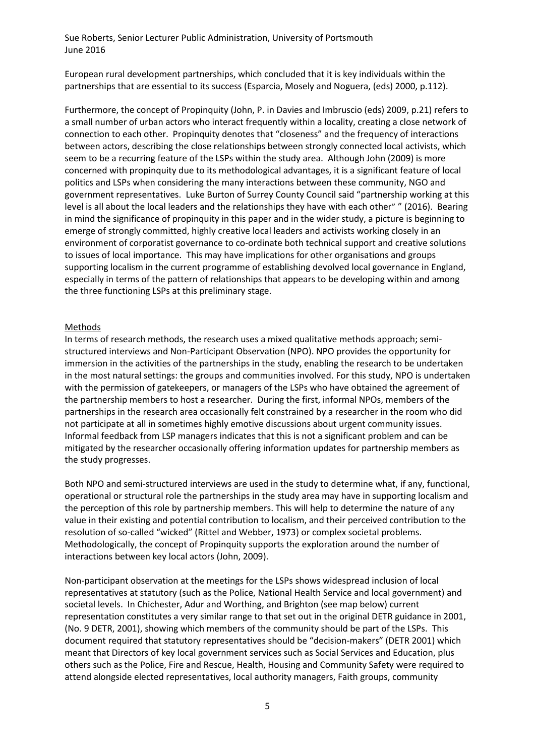European rural development partnerships, which concluded that it is key individuals within the partnerships that are essential to its success (Esparcia, Mosely and Noguera, (eds) 2000, p.112).

Furthermore, the concept of Propinquity (John, P. in Davies and Imbruscio (eds) 2009, p.21) refers to a small number of urban actors who interact frequently within a locality, creating a close network of connection to each other. Propinquity denotes that "closeness" and the frequency of interactions between actors, describing the close relationships between strongly connected local activists, which seem to be a recurring feature of the LSPs within the study area. Although John (2009) is more concerned with propinquity due to its methodological advantages, it is a significant feature of local politics and LSPs when considering the many interactions between these community, NGO and government representatives. Luke Burton of Surrey County Council said "partnership working at this level is all about the local leaders and the relationships they have with each other" " (2016). Bearing in mind the significance of propinquity in this paper and in the wider study, a picture is beginning to emerge of strongly committed, highly creative local leaders and activists working closely in an environment of corporatist governance to co-ordinate both technical support and creative solutions to issues of local importance. This may have implications for other organisations and groups supporting localism in the current programme of establishing devolved local governance in England, especially in terms of the pattern of relationships that appears to be developing within and among the three functioning LSPs at this preliminary stage.

#### Methods

In terms of research methods, the research uses a mixed qualitative methods approach; semistructured interviews and Non-Participant Observation (NPO). NPO provides the opportunity for immersion in the activities of the partnerships in the study, enabling the research to be undertaken in the most natural settings: the groups and communities involved. For this study, NPO is undertaken with the permission of gatekeepers, or managers of the LSPs who have obtained the agreement of the partnership members to host a researcher. During the first, informal NPOs, members of the partnerships in the research area occasionally felt constrained by a researcher in the room who did not participate at all in sometimes highly emotive discussions about urgent community issues. Informal feedback from LSP managers indicates that this is not a significant problem and can be mitigated by the researcher occasionally offering information updates for partnership members as the study progresses.

Both NPO and semi-structured interviews are used in the study to determine what, if any, functional, operational or structural role the partnerships in the study area may have in supporting localism and the perception of this role by partnership members. This will help to determine the nature of any value in their existing and potential contribution to localism, and their perceived contribution to the resolution of so-called "wicked" (Rittel and Webber, 1973) or complex societal problems. Methodologically, the concept of Propinquity supports the exploration around the number of interactions between key local actors (John, 2009).

Non-participant observation at the meetings for the LSPs shows widespread inclusion of local representatives at statutory (such as the Police, National Health Service and local government) and societal levels. In Chichester, Adur and Worthing, and Brighton (see map below) current representation constitutes a very similar range to that set out in the original DETR guidance in 2001, (No. 9 DETR, 2001), showing which members of the community should be part of the LSPs. This document required that statutory representatives should be "decision-makers" (DETR 2001) which meant that Directors of key local government services such as Social Services and Education, plus others such as the Police, Fire and Rescue, Health, Housing and Community Safety were required to attend alongside elected representatives, local authority managers, Faith groups, community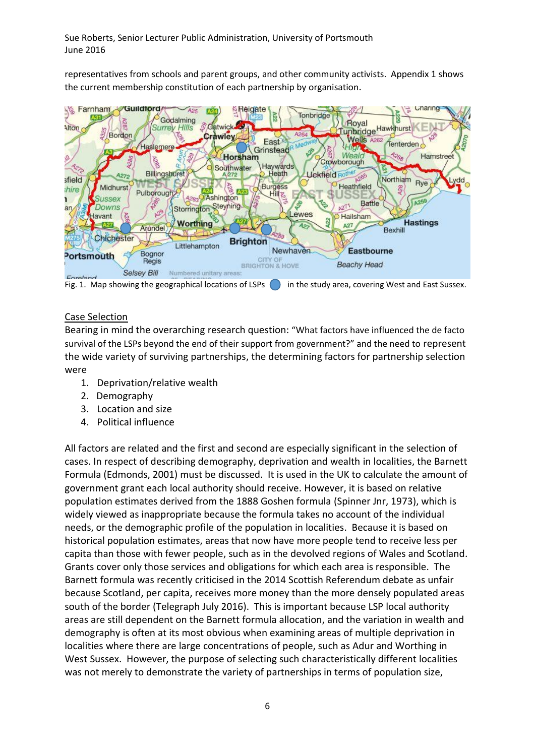representatives from schools and parent groups, and other community activists. Appendix 1 shows the current membership constitution of each partnership by organisation.



Fig. 1. Map showing the geographical locations of LSPs  $\Box$  in the study area, covering West and East Sussex.

# Case Selection

Bearing in mind the overarching research question: "What factors have influenced the de facto survival of the LSPs beyond the end of their support from government?" and the need to represent the wide variety of surviving partnerships, the determining factors for partnership selection were

- 1. Deprivation/relative wealth
- 2. Demography
- 3. Location and size
- 4. Political influence

All factors are related and the first and second are especially significant in the selection of cases. In respect of describing demography, deprivation and wealth in localities, the Barnett Formula (Edmonds, 2001) must be discussed. It is used in the UK to calculate the amount of government grant each local authority should receive. However, it is based on relative population estimates derived from the 1888 Goshen formula (Spinner Jnr, 1973), which is widely viewed as inappropriate because the formula takes no account of the individual needs, or the demographic profile of the population in localities. Because it is based on historical population estimates, areas that now have more people tend to receive less per capita than those with fewer people, such as in the devolved regions of Wales and Scotland. Grants cover only those services and obligations for which each area is responsible. The Barnett formula was recently criticised in the 2014 Scottish Referendum debate as unfair because Scotland, per capita, receives more money than the more densely populated areas south of the border (Telegraph July 2016). This is important because LSP local authority areas are still dependent on the Barnett formula allocation, and the variation in wealth and demography is often at its most obvious when examining areas of multiple deprivation in localities where there are large concentrations of people, such as Adur and Worthing in West Sussex. However, the purpose of selecting such characteristically different localities was not merely to demonstrate the variety of partnerships in terms of population size,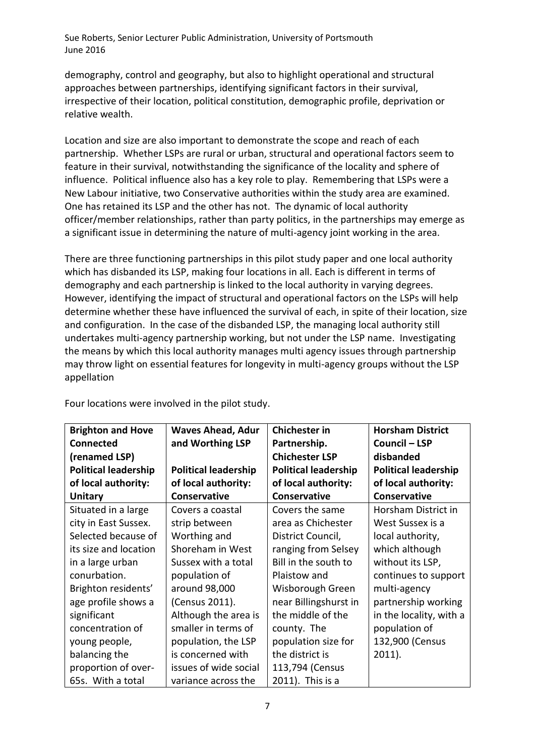demography, control and geography, but also to highlight operational and structural approaches between partnerships, identifying significant factors in their survival, irrespective of their location, political constitution, demographic profile, deprivation or relative wealth.

Location and size are also important to demonstrate the scope and reach of each partnership. Whether LSPs are rural or urban, structural and operational factors seem to feature in their survival, notwithstanding the significance of the locality and sphere of influence. Political influence also has a key role to play. Remembering that LSPs were a New Labour initiative, two Conservative authorities within the study area are examined. One has retained its LSP and the other has not. The dynamic of local authority officer/member relationships, rather than party politics, in the partnerships may emerge as a significant issue in determining the nature of multi-agency joint working in the area.

There are three functioning partnerships in this pilot study paper and one local authority which has disbanded its LSP, making four locations in all. Each is different in terms of demography and each partnership is linked to the local authority in varying degrees. However, identifying the impact of structural and operational factors on the LSPs will help determine whether these have influenced the survival of each, in spite of their location, size and configuration. In the case of the disbanded LSP, the managing local authority still undertakes multi-agency partnership working, but not under the LSP name. Investigating the means by which this local authority manages multi agency issues through partnership may throw light on essential features for longevity in multi-agency groups without the LSP appellation

| <b>Brighton and Hove</b>    | <b>Waves Ahead, Adur</b>    | <b>Chichester in</b>        | <b>Horsham District</b>     |
|-----------------------------|-----------------------------|-----------------------------|-----------------------------|
| <b>Connected</b>            | and Worthing LSP            | Partnership.                | <b>Council - LSP</b>        |
| (renamed LSP)               |                             | <b>Chichester LSP</b>       | disbanded                   |
| <b>Political leadership</b> | <b>Political leadership</b> | <b>Political leadership</b> | <b>Political leadership</b> |
| of local authority:         | of local authority:         | of local authority:         | of local authority:         |
| <b>Unitary</b>              | Conservative                | Conservative                | Conservative                |
| Situated in a large         | Covers a coastal            | Covers the same             | Horsham District in         |
| city in East Sussex.        | strip between               | area as Chichester          | West Sussex is a            |
| Selected because of         | Worthing and                | District Council,           | local authority,            |
| its size and location       | Shoreham in West            | ranging from Selsey         | which although              |
| in a large urban            | Sussex with a total         | Bill in the south to        | without its LSP,            |
| conurbation.                | population of               | Plaistow and                | continues to support        |
| Brighton residents'         | around 98,000               | Wisborough Green            | multi-agency                |
| age profile shows a         | (Census 2011).              | near Billingshurst in       | partnership working         |
| significant                 | Although the area is        | the middle of the           | in the locality, with a     |
| concentration of            | smaller in terms of         | county. The                 | population of               |
| young people,               | population, the LSP         | population size for         | 132,900 (Census             |
| balancing the               | is concerned with           | the district is             | $2011$ ).                   |
| proportion of over-         | issues of wide social       | 113,794 (Census             |                             |
| 65s. With a total           | variance across the         | 2011). This is a            |                             |

Four locations were involved in the pilot study.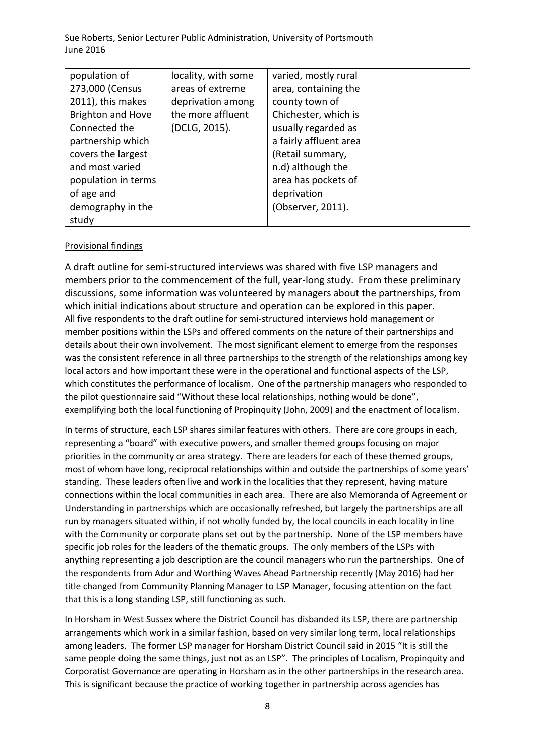| population of            | locality, with some | varied, mostly rural   |  |
|--------------------------|---------------------|------------------------|--|
| 273,000 (Census          | areas of extreme    | area, containing the   |  |
| 2011), this makes        | deprivation among   | county town of         |  |
| <b>Brighton and Hove</b> | the more affluent   | Chichester, which is   |  |
| Connected the            | (DCLG, 2015).       | usually regarded as    |  |
| partnership which        |                     | a fairly affluent area |  |
| covers the largest       |                     | (Retail summary,       |  |
| and most varied          |                     | n.d) although the      |  |
| population in terms      |                     | area has pockets of    |  |
| of age and               |                     | deprivation            |  |
| demography in the        |                     | (Observer, 2011).      |  |
| study                    |                     |                        |  |

## Provisional findings

A draft outline for semi-structured interviews was shared with five LSP managers and members prior to the commencement of the full, year-long study. From these preliminary discussions, some information was volunteered by managers about the partnerships, from which initial indications about structure and operation can be explored in this paper. All five respondents to the draft outline for semi-structured interviews hold management or member positions within the LSPs and offered comments on the nature of their partnerships and details about their own involvement. The most significant element to emerge from the responses was the consistent reference in all three partnerships to the strength of the relationships among key local actors and how important these were in the operational and functional aspects of the LSP, which constitutes the performance of localism. One of the partnership managers who responded to the pilot questionnaire said "Without these local relationships, nothing would be done", exemplifying both the local functioning of Propinquity (John, 2009) and the enactment of localism.

In terms of structure, each LSP shares similar features with others. There are core groups in each, representing a "board" with executive powers, and smaller themed groups focusing on major priorities in the community or area strategy. There are leaders for each of these themed groups, most of whom have long, reciprocal relationships within and outside the partnerships of some years' standing. These leaders often live and work in the localities that they represent, having mature connections within the local communities in each area. There are also Memoranda of Agreement or Understanding in partnerships which are occasionally refreshed, but largely the partnerships are all run by managers situated within, if not wholly funded by, the local councils in each locality in line with the Community or corporate plans set out by the partnership. None of the LSP members have specific job roles for the leaders of the thematic groups. The only members of the LSPs with anything representing a job description are the council managers who run the partnerships. One of the respondents from Adur and Worthing Waves Ahead Partnership recently (May 2016) had her title changed from Community Planning Manager to LSP Manager, focusing attention on the fact that this is a long standing LSP, still functioning as such.

In Horsham in West Sussex where the District Council has disbanded its LSP, there are partnership arrangements which work in a similar fashion, based on very similar long term, local relationships among leaders. The former LSP manager for Horsham District Council said in 2015 "It is still the same people doing the same things, just not as an LSP". The principles of Localism, Propinquity and Corporatist Governance are operating in Horsham as in the other partnerships in the research area. This is significant because the practice of working together in partnership across agencies has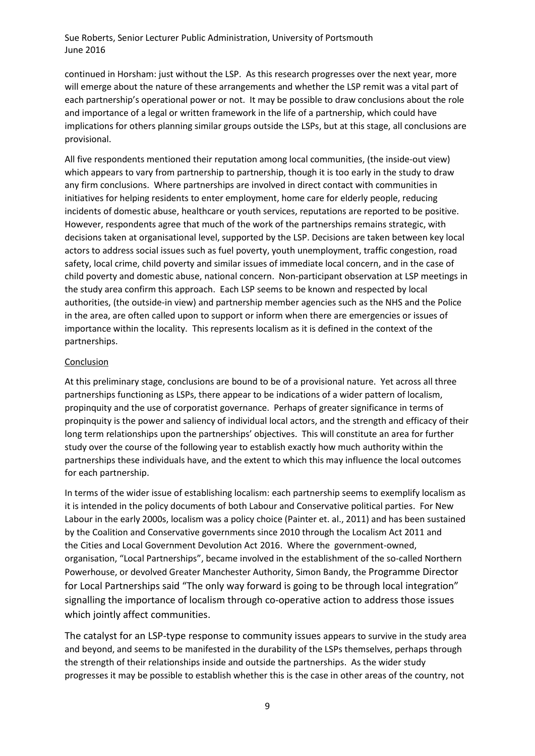continued in Horsham: just without the LSP. As this research progresses over the next year, more will emerge about the nature of these arrangements and whether the LSP remit was a vital part of each partnership's operational power or not. It may be possible to draw conclusions about the role and importance of a legal or written framework in the life of a partnership, which could have implications for others planning similar groups outside the LSPs, but at this stage, all conclusions are provisional.

All five respondents mentioned their reputation among local communities, (the inside-out view) which appears to vary from partnership to partnership, though it is too early in the study to draw any firm conclusions. Where partnerships are involved in direct contact with communities in initiatives for helping residents to enter employment, home care for elderly people, reducing incidents of domestic abuse, healthcare or youth services, reputations are reported to be positive. However, respondents agree that much of the work of the partnerships remains strategic, with decisions taken at organisational level, supported by the LSP. Decisions are taken between key local actors to address social issues such as fuel poverty, youth unemployment, traffic congestion, road safety, local crime, child poverty and similar issues of immediate local concern, and in the case of child poverty and domestic abuse, national concern. Non-participant observation at LSP meetings in the study area confirm this approach. Each LSP seems to be known and respected by local authorities, (the outside-in view) and partnership member agencies such as the NHS and the Police in the area, are often called upon to support or inform when there are emergencies or issues of importance within the locality. This represents localism as it is defined in the context of the partnerships.

#### Conclusion

At this preliminary stage, conclusions are bound to be of a provisional nature. Yet across all three partnerships functioning as LSPs, there appear to be indications of a wider pattern of localism, propinquity and the use of corporatist governance. Perhaps of greater significance in terms of propinquity is the power and saliency of individual local actors, and the strength and efficacy of their long term relationships upon the partnerships' objectives. This will constitute an area for further study over the course of the following year to establish exactly how much authority within the partnerships these individuals have, and the extent to which this may influence the local outcomes for each partnership.

In terms of the wider issue of establishing localism: each partnership seems to exemplify localism as it is intended in the policy documents of both Labour and Conservative political parties. For New Labour in the early 2000s, localism was a policy choice (Painter et. al., 2011) and has been sustained by the Coalition and Conservative governments since 2010 through the Localism Act 2011 and the Cities and Local Government Devolution Act 2016. Where the government-owned, organisation, "Local Partnerships", became involved in the establishment of the so-called Northern Powerhouse, or devolved Greater Manchester Authority, Simon Bandy, the Programme Director for Local Partnerships said "The only way forward is going to be through local integration" signalling the importance of localism through co-operative action to address those issues which jointly affect communities.

The catalyst for an LSP-type response to community issues appears to survive in the study area and beyond, and seems to be manifested in the durability of the LSPs themselves, perhaps through the strength of their relationships inside and outside the partnerships. As the wider study progresses it may be possible to establish whether this is the case in other areas of the country, not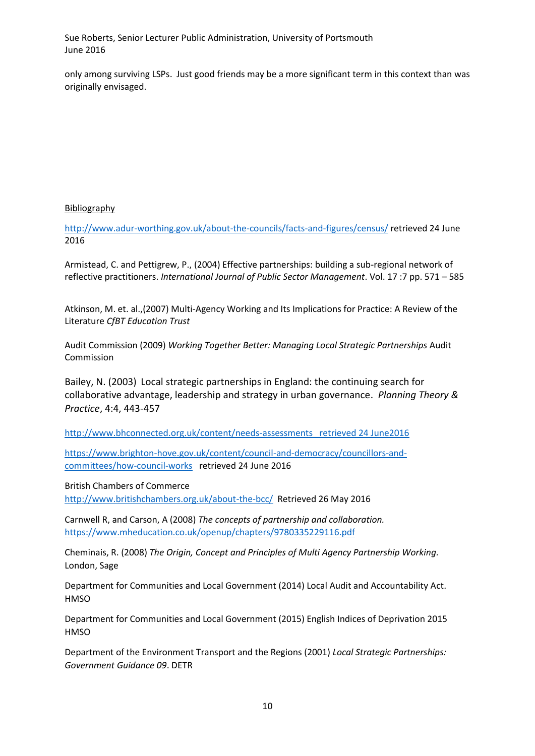only among surviving LSPs. Just good friends may be a more significant term in this context than was originally envisaged.

## Bibliography

<http://www.adur-worthing.gov.uk/about-the-councils/facts-and-figures/census/> retrieved 24 June 2016

Armistead, C. and Pettigrew, P., (2004) Effective partnerships: building a sub-regional network of reflective practitioners. *International Journal of Public Sector Management*. Vol. 17 :7 pp. 571 – 585

Atkinson, M. et. al.,(2007) Multi-Agency Working and Its Implications for Practice: A Review of the Literature *CfBT Education Trust*

Audit Commission (2009) *Working Together Better: Managing Local Strategic Partnerships* Audit Commission

Bailey, N. (2003) Local strategic partnerships in England: the continuing search for collaborative advantage, leadership and strategy in urban governance. *Planning Theory & Practice*, 4:4, 443-457

[http://www.bhconnected.org.uk/content/needs-assessments retrieved 24 June2016](http://www.bhconnected.org.uk/content/needs-assessments%20%20%20retrieved%2024%20June2016)

[https://www.brighton-hove.gov.uk/content/council-and-democracy/councillors-and](https://www.brighton-hove.gov.uk/content/council-and-democracy/councillors-and-committees/how-council-works)[committees/how-council-works](https://www.brighton-hove.gov.uk/content/council-and-democracy/councillors-and-committees/how-council-works) retrieved 24 June 2016

British Chambers of Commerce

<http://www.britishchambers.org.uk/about-the-bcc/>Retrieved 26 May 2016

Carnwell R, and Carson, A (2008) *The concepts of partnership and collaboration.*  <https://www.mheducation.co.uk/openup/chapters/9780335229116.pdf>

Cheminais, R. (2008) *The Origin, Concept and Principles of Multi Agency Partnership Working.*  London, Sage

Department for Communities and Local Government (2014) Local Audit and Accountability Act. **HMSO** 

Department for Communities and Local Government (2015) English Indices of Deprivation 2015 **HMSO** 

Department of the Environment Transport and the Regions (2001) *Local Strategic Partnerships: Government Guidance 09*. DETR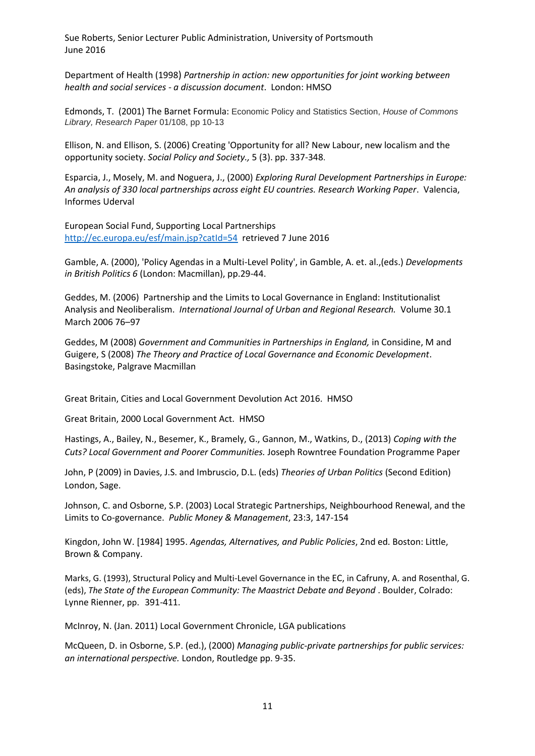Department of Health (1998) *Partnership in action: new opportunities for joint working between health and social services - a discussion document*. London: HMSO

Edmonds, T. (2001) The Barnet Formula: Economic Policy and Statistics Section, *House of Commons Library, Research Paper* 01/108, pp 10-13

Ellison, N. and Ellison, S. (2006) Creating 'Opportunity for all? New Labour, new localism and the opportunity society. *Social Policy and Society.,* 5 (3). pp. 337-348.

Esparcia, J., Mosely, M. and Noguera, J., (2000) *Exploring Rural Development Partnerships in Europe: An analysis of 330 local partnerships across eight EU countries. Research Working Paper*. Valencia, Informes Uderval

European Social Fund, Supporting Local Partnerships <http://ec.europa.eu/esf/main.jsp?catId=54>retrieved 7 June 2016

Gamble, A. (2000), 'Policy Agendas in a Multi-Level Polity', in Gamble, A. et. al.,(eds.) *Developments in British Politics 6* (London: Macmillan), pp.29-44.

Geddes, M. (2006) Partnership and the Limits to Local Governance in England: Institutionalist Analysis and Neoliberalism. *International Journal of Urban and Regional Research.* Volume 30.1 March 2006 76–97

Geddes, M (2008) *Government and Communities in Partnerships in England,* in Considine, M and Guigere, S (2008) *The Theory and Practice of Local Governance and Economic Development*. Basingstoke, Palgrave Macmillan

Great Britain, Cities and Local Government Devolution Act 2016. HMSO

Great Britain, 2000 Local Government Act. HMSO

Hastings, A., Bailey, N., Besemer, K., Bramely, G., Gannon, M., Watkins, D., (2013) *Coping with the Cuts? Local Government and Poorer Communities.* Joseph Rowntree Foundation Programme Paper

John, P (2009) in Davies, J.S. and Imbruscio, D.L. (eds) *Theories of Urban Politics* (Second Edition) London, Sage.

Johnson, C. and Osborne, S.P. (2003) Local Strategic Partnerships, Neighbourhood Renewal, and the Limits to Co-governance. *Public Money & Management*, 23:3, 147-154

Kingdon, John W. [1984] 1995. *Agendas, Alternatives, and Public Policies*, 2nd ed. Boston: Little, Brown & Company.

Marks, G. (1993), Structural Policy and Multi-Level Governance in the EC, in Cafruny, A. and Rosenthal, G. (eds), *The State of the European Community: The Maastrict Debate and Beyond* . Boulder, Colrado: Lynne Rienner, pp. 391-411.

McInroy, N. (Jan. 2011) Local Government Chronicle, LGA publications

McQueen, D. in Osborne, S.P. (ed.), (2000) *Managing public-private partnerships for public services: an international perspective.* London, Routledge pp. 9-35.